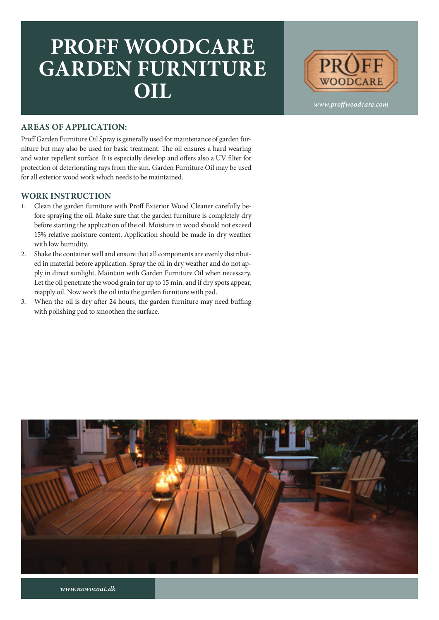## **PROFF WOODCARE GARDEN FURNITURE OIL**



*www.proffwoodcare.com*

## **AREAS OF APPLICATION:**

Proff Garden Furniture Oil Spray is generally used for maintenance of garden furniture but may also be used for basic treatment. The oil ensures a hard wearing and water repellent surface. It is especially develop and offers also a UV filter for protection of deteriorating rays from the sun. Garden Furniture Oil may be used for all exterior wood work which needs to be maintained.

## **WORK INSTRUCTION**

- 1. Clean the garden furniture with Proff Exterior Wood Cleaner carefully before spraying the oil. Make sure that the garden furniture is completely dry before starting the application of the oil. Moisture in wood should not exceed 15% relative moisture content. Application should be made in dry weather with low humidity.
- 2. Shake the container well and ensure that all components are evenly distributed in material before application. Spray the oil in dry weather and do not apply in direct sunlight. Maintain with Garden Furniture Oil when necessary. Let the oil penetrate the wood grain for up to 15 min. and if dry spots appear, reapply oil. Now work the oil into the garden furniture with pad.
- 3. When the oil is dry after 24 hours, the garden furniture may need buffing with polishing pad to smoothen the surface.